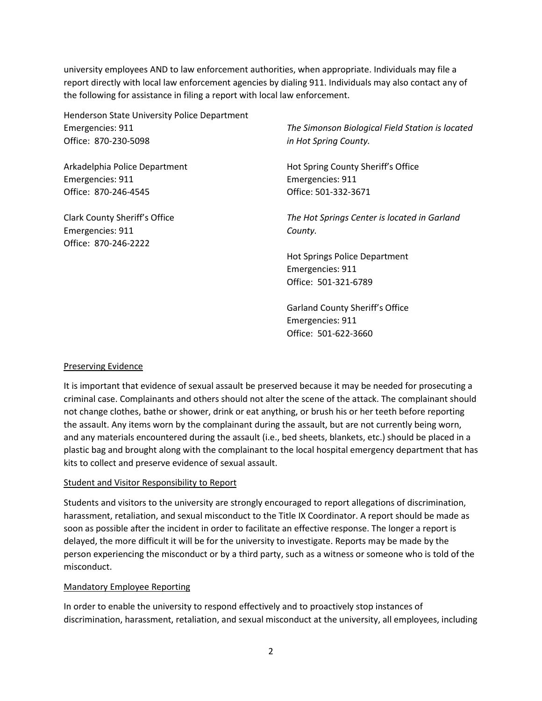university employees AND to law enforcement authorities, when appropriate. Individuals may file a report directly with local law enforcement agencies by dialing 911. Individuals may also contact any of the following for assistance in filing a report with local law enforcement.

Henderson State University Police Department Emergencies: 911 Office: 870-230-5098

Arkadelphia Police Department Emergencies: 911 Office: 870-246-4545

Clark County Sheriff's Office Emergencies: 911 Office: 870-246-2222

*The Simonson Biological Field Station is located in Hot Spring County.* 

Hot Spring County Sheriff's Office Emergencies: 911 Office: 501-332-3671

*The Hot Springs Center is located in Garland County.* 

Hot Springs Police Department Emergencies: 911 Office: 501-321-6789

Garland County Sheriff's Office Emergencies: 911 Office: 501-622-3660

### Preserving Evidence

It is important that evidence of sexual assault be preserved because it may be needed for prosecuting a criminal case. Complainants and others should not alter the scene of the attack. The complainant should not change clothes, bathe or shower, drink or eat anything, or brush his or her teeth before reporting the assault. Any items worn by the complainant during the assault, but are not currently being worn, and any materials encountered during the assault (i.e., bed sheets, blankets, etc.) should be placed in a plastic bag and brought along with the complainant to the local hospital emergency department that has kits to collect and preserve evidence of sexual assault.

### Student and Visitor Responsibility to Report

Students and visitors to the university are strongly encouraged to report allegations of discrimination, harassment, retaliation, and sexual misconduct to the Title IX Coordinator. A report should be made as soon as possible after the incident in order to facilitate an effective response. The longer a report is delayed, the more difficult it will be for the university to investigate. Reports may be made by the person experiencing the misconduct or by a third party, such as a witness or someone who is told of the misconduct.

#### Mandatory Employee Reporting

In order to enable the university to respond effectively and to proactively stop instances of discrimination, harassment, retaliation, and sexual misconduct at the university, all employees, including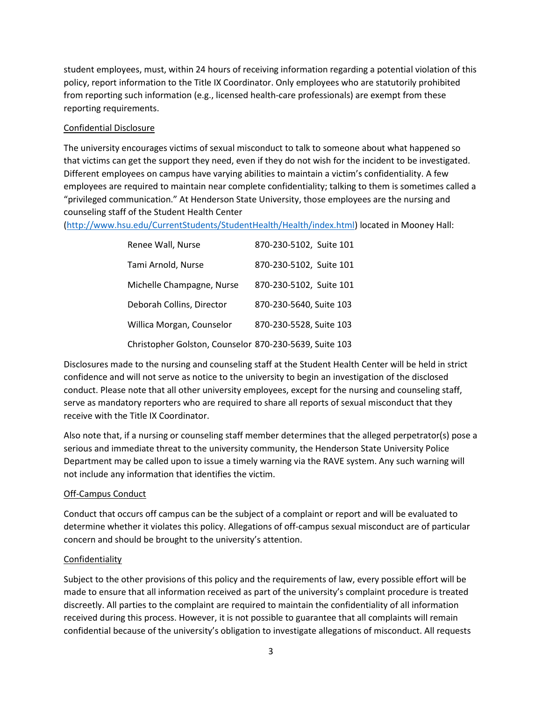student employees, must, within 24 hours of receiving information regarding a potential violation of this policy, report information to the Title IX Coordinator. Only employees who are statutorily prohibited from reporting such information (e.g., licensed health-care professionals) are exempt from these reporting requirements.

# Confidential Disclosure

The university encourages victims of sexual misconduct to talk to someone about what happened so that victims can get the support they need, even if they do not wish for the incident to be investigated. Different employees on campus have varying abilities to maintain a victim's confidentiality. A few employees are required to maintain near complete confidentiality; talking to them is sometimes called a "privileged communication." At Henderson State University, those employees are the nursing and counseling staff of the Student Health Center

[\(http://www.hsu.edu/CurrentStudents/StudentHealth/Health/index.html\)](http://www.hsu.edu/CurrentStudents/StudentHealth/Health/index.html) located in Mooney Hall:

| Renee Wall, Nurse                                      | 870-230-5102, Suite 101 |
|--------------------------------------------------------|-------------------------|
| Tami Arnold, Nurse                                     | 870-230-5102, Suite 101 |
| Michelle Champagne, Nurse                              | 870-230-5102, Suite 101 |
| Deborah Collins, Director                              | 870-230-5640, Suite 103 |
| Willica Morgan, Counselor                              | 870-230-5528, Suite 103 |
| Christopher Golston, Counselor 870-230-5639, Suite 103 |                         |

Disclosures made to the nursing and counseling staff at the Student Health Center will be held in strict confidence and will not serve as notice to the university to begin an investigation of the disclosed conduct. Please note that all other university employees, except for the nursing and counseling staff, serve as mandatory reporters who are required to share all reports of sexual misconduct that they receive with the Title IX Coordinator.

Also note that, if a nursing or counseling staff member determines that the alleged perpetrator(s) pose a serious and immediate threat to the university community, the Henderson State University Police Department may be called upon to issue a timely warning via the RAVE system. Any such warning will not include any information that identifies the victim.

# Off-Campus Conduct

Conduct that occurs off campus can be the subject of a complaint or report and will be evaluated to determine whether it violates this policy. Allegations of off-campus sexual misconduct are of particular concern and should be brought to the university's attention.

### **Confidentiality**

Subject to the other provisions of this policy and the requirements of law, every possible effort will be made to ensure that all information received as part of the university's complaint procedure is treated discreetly. All parties to the complaint are required to maintain the confidentiality of all information received during this process. However, it is not possible to guarantee that all complaints will remain confidential because of the university's obligation to investigate allegations of misconduct. All requests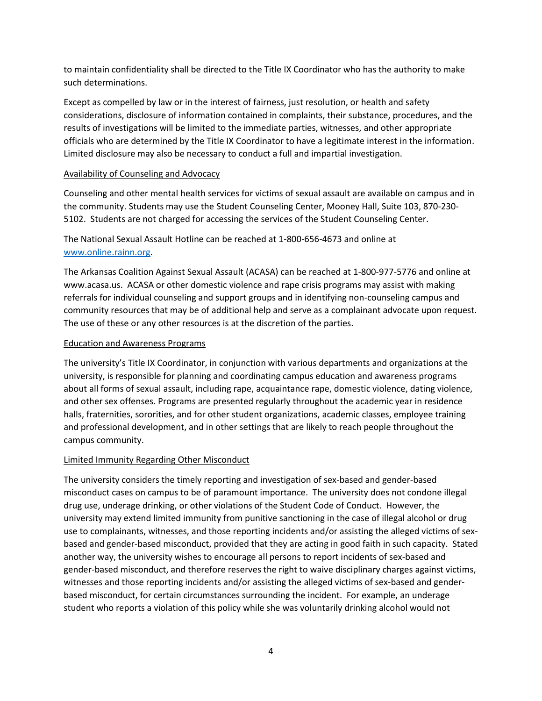to maintain confidentiality shall be directed to the Title IX Coordinator who has the authority to make such determinations.

Except as compelled by law or in the interest of fairness, just resolution, or health and safety considerations, disclosure of information contained in complaints, their substance, procedures, and the results of investigations will be limited to the immediate parties, witnesses, and other appropriate officials who are determined by the Title IX Coordinator to have a legitimate interest in the information. Limited disclosure may also be necessary to conduct a full and impartial investigation.

### Availability of Counseling and Advocacy

Counseling and other mental health services for victims of sexual assault are available on campus and in the community. Students may use the Student Counseling Center, Mooney Hall, Suite 103, 870-230- 5102. Students are not charged for accessing the services of the Student Counseling Center.

The National Sexual Assault Hotline can be reached at 1-800-656-4673 and online at [www.online.rainn.org.](http://www.online.rainn.org/)

The Arkansas Coalition Against Sexual Assault (ACASA) can be reached at 1-800-977-5776 and online at www.acasa.us. ACASA or other domestic violence and rape crisis programs may assist with making referrals for individual counseling and support groups and in identifying non-counseling campus and community resources that may be of additional help and serve as a complainant advocate upon request. The use of these or any other resources is at the discretion of the parties.

#### Education and Awareness Programs

The university's Title IX Coordinator, in conjunction with various departments and organizations at the university, is responsible for planning and coordinating campus education and awareness programs about all forms of sexual assault, including rape, acquaintance rape, domestic violence, dating violence, and other sex offenses. Programs are presented regularly throughout the academic year in residence halls, fraternities, sororities, and for other student organizations, academic classes, employee training and professional development, and in other settings that are likely to reach people throughout the campus community.

### Limited Immunity Regarding Other Misconduct

The university considers the timely reporting and investigation of sex-based and gender-based misconduct cases on campus to be of paramount importance. The university does not condone illegal drug use, underage drinking, or other violations of the Student Code of Conduct. However, the university may extend limited immunity from punitive sanctioning in the case of illegal alcohol or drug use to complainants, witnesses, and those reporting incidents and/or assisting the alleged victims of sexbased and gender-based misconduct, provided that they are acting in good faith in such capacity. Stated another way, the university wishes to encourage all persons to report incidents of sex-based and gender-based misconduct, and therefore reserves the right to waive disciplinary charges against victims, witnesses and those reporting incidents and/or assisting the alleged victims of sex-based and genderbased misconduct, for certain circumstances surrounding the incident. For example, an underage student who reports a violation of this policy while she was voluntarily drinking alcohol would not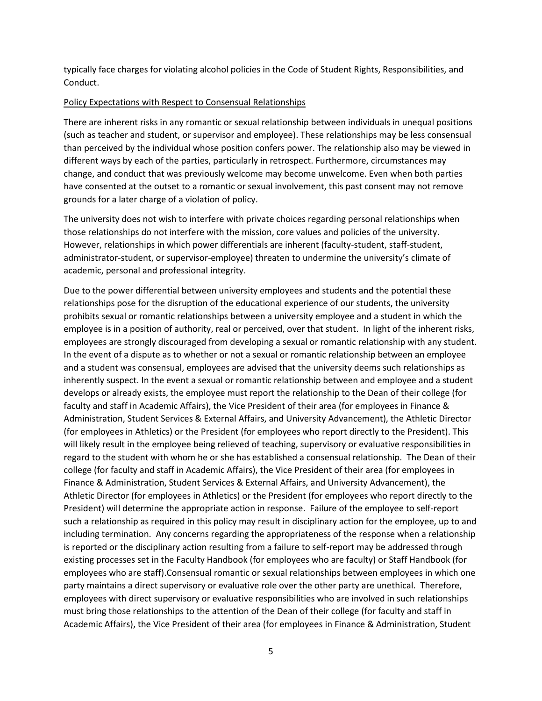typically face charges for violating alcohol policies in the Code of Student Rights, Responsibilities, and Conduct.

#### Policy Expectations with Respect to Consensual Relationships

There are inherent risks in any romantic or sexual relationship between individuals in unequal positions (such as teacher and student, or supervisor and employee). These relationships may be less consensual than perceived by the individual whose position confers power. The relationship also may be viewed in different ways by each of the parties, particularly in retrospect. Furthermore, circumstances may change, and conduct that was previously welcome may become unwelcome. Even when both parties have consented at the outset to a romantic or sexual involvement, this past consent may not remove grounds for a later charge of a violation of policy.

The university does not wish to interfere with private choices regarding personal relationships when those relationships do not interfere with the mission, core values and policies of the university. However, relationships in which power differentials are inherent (faculty-student, staff-student, administrator-student, or supervisor-employee) threaten to undermine the university's climate of academic, personal and professional integrity.

Due to the power differential between university employees and students and the potential these relationships pose for the disruption of the educational experience of our students, the university prohibits sexual or romantic relationships between a university employee and a student in which the employee is in a position of authority, real or perceived, over that student. In light of the inherent risks, employees are strongly discouraged from developing a sexual or romantic relationship with any student. In the event of a dispute as to whether or not a sexual or romantic relationship between an employee and a student was consensual, employees are advised that the university deems such relationships as inherently suspect. In the event a sexual or romantic relationship between and employee and a student develops or already exists, the employee must report the relationship to the Dean of their college (for faculty and staff in Academic Affairs), the Vice President of their area (for employees in Finance & Administration, Student Services & External Affairs, and University Advancement), the Athletic Director (for employees in Athletics) or the President (for employees who report directly to the President). This will likely result in the employee being relieved of teaching, supervisory or evaluative responsibilities in regard to the student with whom he or she has established a consensual relationship. The Dean of their college (for faculty and staff in Academic Affairs), the Vice President of their area (for employees in Finance & Administration, Student Services & External Affairs, and University Advancement), the Athletic Director (for employees in Athletics) or the President (for employees who report directly to the President) will determine the appropriate action in response. Failure of the employee to self-report such a relationship as required in this policy may result in disciplinary action for the employee, up to and including termination. Any concerns regarding the appropriateness of the response when a relationship is reported or the disciplinary action resulting from a failure to self-report may be addressed through existing processes set in the Faculty Handbook (for employees who are faculty) or Staff Handbook (for employees who are staff).Consensual romantic or sexual relationships between employees in which one party maintains a direct supervisory or evaluative role over the other party are unethical. Therefore, employees with direct supervisory or evaluative responsibilities who are involved in such relationships must bring those relationships to the attention of the Dean of their college (for faculty and staff in Academic Affairs), the Vice President of their area (for employees in Finance & Administration, Student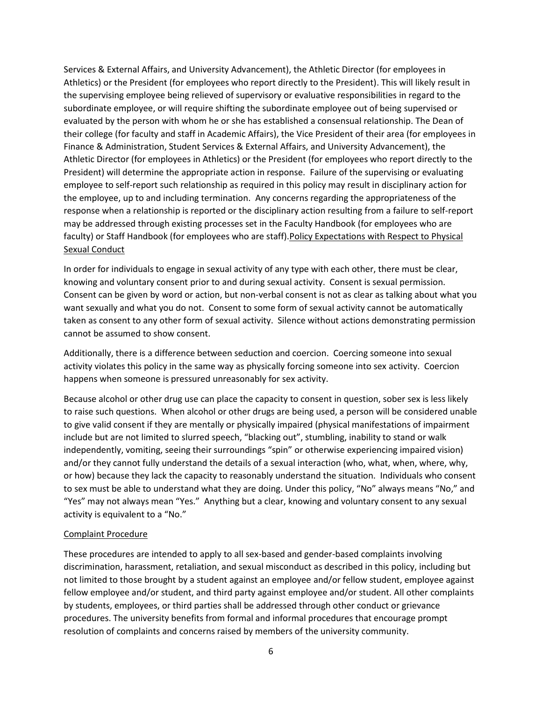Services & External Affairs, and University Advancement), the Athletic Director (for employees in Athletics) or the President (for employees who report directly to the President). This will likely result in the supervising employee being relieved of supervisory or evaluative responsibilities in regard to the subordinate employee, or will require shifting the subordinate employee out of being supervised or evaluated by the person with whom he or she has established a consensual relationship. The Dean of their college (for faculty and staff in Academic Affairs), the Vice President of their area (for employees in Finance & Administration, Student Services & External Affairs, and University Advancement), the Athletic Director (for employees in Athletics) or the President (for employees who report directly to the President) will determine the appropriate action in response. Failure of the supervising or evaluating employee to self-report such relationship as required in this policy may result in disciplinary action for the employee, up to and including termination. Any concerns regarding the appropriateness of the response when a relationship is reported or the disciplinary action resulting from a failure to self-report may be addressed through existing processes set in the Faculty Handbook (for employees who are faculty) or Staff Handbook (for employees who are staff). Policy Expectations with Respect to Physical Sexual Conduct

In order for individuals to engage in sexual activity of any type with each other, there must be clear, knowing and voluntary consent prior to and during sexual activity. Consent is sexual permission. Consent can be given by word or action, but non-verbal consent is not as clear as talking about what you want sexually and what you do not. Consent to some form of sexual activity cannot be automatically taken as consent to any other form of sexual activity. Silence without actions demonstrating permission cannot be assumed to show consent.

Additionally, there is a difference between seduction and coercion. Coercing someone into sexual activity violates this policy in the same way as physically forcing someone into sex activity. Coercion happens when someone is pressured unreasonably for sex activity.

Because alcohol or other drug use can place the capacity to consent in question, sober sex is less likely to raise such questions. When alcohol or other drugs are being used, a person will be considered unable to give valid consent if they are mentally or physically impaired (physical manifestations of impairment include but are not limited to slurred speech, "blacking out", stumbling, inability to stand or walk independently, vomiting, seeing their surroundings "spin" or otherwise experiencing impaired vision) and/or they cannot fully understand the details of a sexual interaction (who, what, when, where, why, or how) because they lack the capacity to reasonably understand the situation. Individuals who consent to sex must be able to understand what they are doing. Under this policy, "No" always means "No," and "Yes" may not always mean "Yes." Anything but a clear, knowing and voluntary consent to any sexual activity is equivalent to a "No."

### Complaint Procedure

These procedures are intended to apply to all sex-based and gender-based complaints involving discrimination, harassment, retaliation, and sexual misconduct as described in this policy, including but not limited to those brought by a student against an employee and/or fellow student, employee against fellow employee and/or student, and third party against employee and/or student. All other complaints by students, employees, or third parties shall be addressed through other conduct or grievance procedures. The university benefits from formal and informal procedures that encourage prompt resolution of complaints and concerns raised by members of the university community.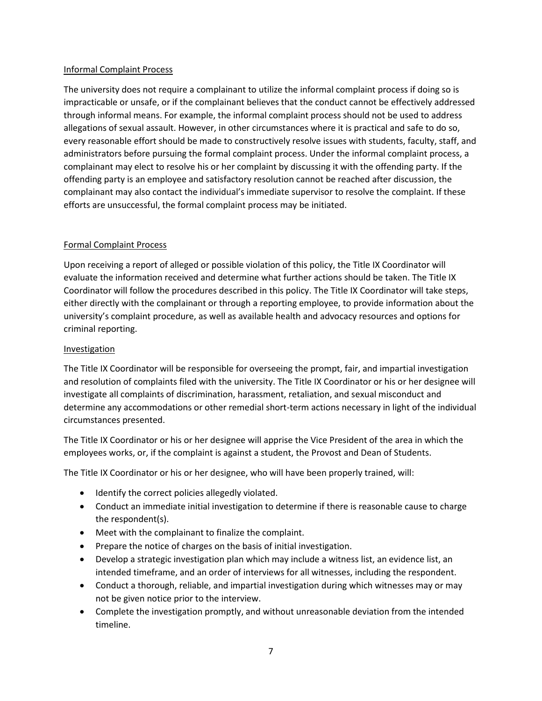### Informal Complaint Process

The university does not require a complainant to utilize the informal complaint process if doing so is impracticable or unsafe, or if the complainant believes that the conduct cannot be effectively addressed through informal means. For example, the informal complaint process should not be used to address allegations of sexual assault. However, in other circumstances where it is practical and safe to do so, every reasonable effort should be made to constructively resolve issues with students, faculty, staff, and administrators before pursuing the formal complaint process. Under the informal complaint process, a complainant may elect to resolve his or her complaint by discussing it with the offending party. If the offending party is an employee and satisfactory resolution cannot be reached after discussion, the complainant may also contact the individual's immediate supervisor to resolve the complaint. If these efforts are unsuccessful, the formal complaint process may be initiated.

### Formal Complaint Process

Upon receiving a report of alleged or possible violation of this policy, the Title IX Coordinator will evaluate the information received and determine what further actions should be taken. The Title IX Coordinator will follow the procedures described in this policy. The Title IX Coordinator will take steps, either directly with the complainant or through a reporting employee, to provide information about the university's complaint procedure, as well as available health and advocacy resources and options for criminal reporting.

### Investigation

The Title IX Coordinator will be responsible for overseeing the prompt, fair, and impartial investigation and resolution of complaints filed with the university. The Title IX Coordinator or his or her designee will investigate all complaints of discrimination, harassment, retaliation, and sexual misconduct and determine any accommodations or other remedial short-term actions necessary in light of the individual circumstances presented.

The Title IX Coordinator or his or her designee will apprise the Vice President of the area in which the employees works, or, if the complaint is against a student, the Provost and Dean of Students.

The Title IX Coordinator or his or her designee, who will have been properly trained, will:

- Identify the correct policies allegedly violated.
- Conduct an immediate initial investigation to determine if there is reasonable cause to charge the respondent(s).
- Meet with the complainant to finalize the complaint.
- Prepare the notice of charges on the basis of initial investigation.
- Develop a strategic investigation plan which may include a witness list, an evidence list, an intended timeframe, and an order of interviews for all witnesses, including the respondent.
- Conduct a thorough, reliable, and impartial investigation during which witnesses may or may not be given notice prior to the interview.
- Complete the investigation promptly, and without unreasonable deviation from the intended timeline.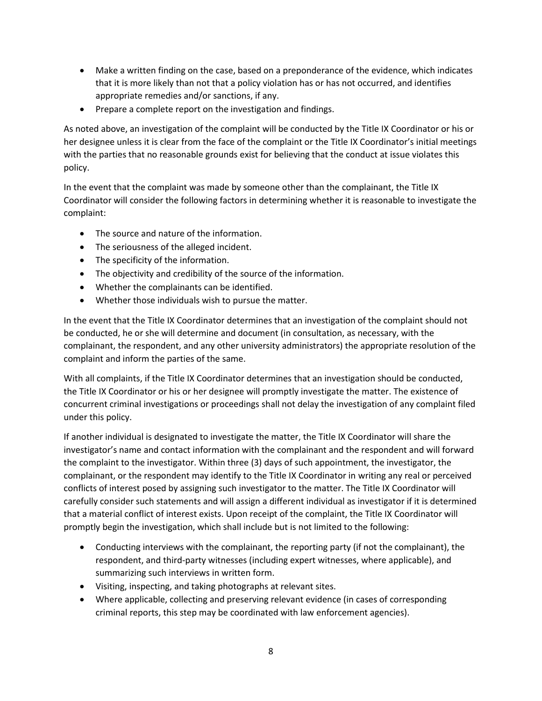- Make a written finding on the case, based on a preponderance of the evidence, which indicates that it is more likely than not that a policy violation has or has not occurred, and identifies appropriate remedies and/or sanctions, if any.
- Prepare a complete report on the investigation and findings.

As noted above, an investigation of the complaint will be conducted by the Title IX Coordinator or his or her designee unless it is clear from the face of the complaint or the Title IX Coordinator's initial meetings with the parties that no reasonable grounds exist for believing that the conduct at issue violates this policy.

In the event that the complaint was made by someone other than the complainant, the Title IX Coordinator will consider the following factors in determining whether it is reasonable to investigate the complaint:

- The source and nature of the information.
- The seriousness of the alleged incident.
- The specificity of the information.
- The objectivity and credibility of the source of the information.
- Whether the complainants can be identified.
- Whether those individuals wish to pursue the matter.

In the event that the Title IX Coordinator determines that an investigation of the complaint should not be conducted, he or she will determine and document (in consultation, as necessary, with the complainant, the respondent, and any other university administrators) the appropriate resolution of the complaint and inform the parties of the same.

With all complaints, if the Title IX Coordinator determines that an investigation should be conducted, the Title IX Coordinator or his or her designee will promptly investigate the matter. The existence of concurrent criminal investigations or proceedings shall not delay the investigation of any complaint filed under this policy.

If another individual is designated to investigate the matter, the Title IX Coordinator will share the investigator's name and contact information with the complainant and the respondent and will forward the complaint to the investigator. Within three (3) days of such appointment, the investigator, the complainant, or the respondent may identify to the Title IX Coordinator in writing any real or perceived conflicts of interest posed by assigning such investigator to the matter. The Title IX Coordinator will carefully consider such statements and will assign a different individual as investigator if it is determined that a material conflict of interest exists. Upon receipt of the complaint, the Title IX Coordinator will promptly begin the investigation, which shall include but is not limited to the following:

- Conducting interviews with the complainant, the reporting party (if not the complainant), the respondent, and third-party witnesses (including expert witnesses, where applicable), and summarizing such interviews in written form.
- Visiting, inspecting, and taking photographs at relevant sites.
- Where applicable, collecting and preserving relevant evidence (in cases of corresponding criminal reports, this step may be coordinated with law enforcement agencies).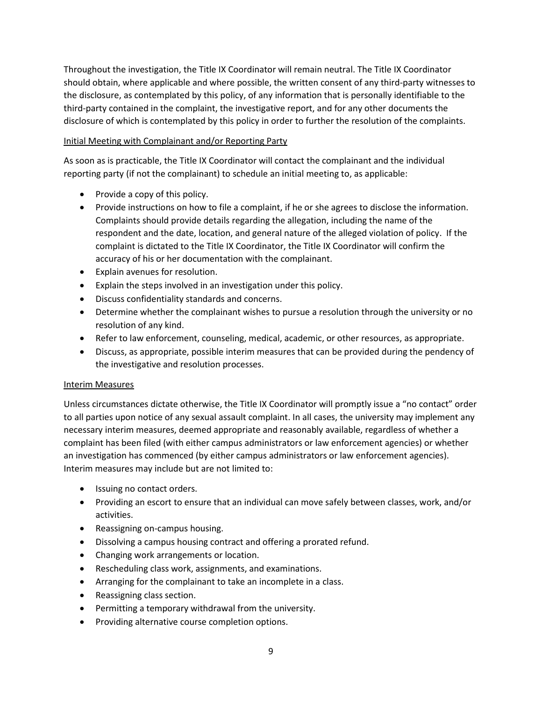Throughout the investigation, the Title IX Coordinator will remain neutral. The Title IX Coordinator should obtain, where applicable and where possible, the written consent of any third-party witnesses to the disclosure, as contemplated by this policy, of any information that is personally identifiable to the third-party contained in the complaint, the investigative report, and for any other documents the disclosure of which is contemplated by this policy in order to further the resolution of the complaints.

### Initial Meeting with Complainant and/or Reporting Party

As soon as is practicable, the Title IX Coordinator will contact the complainant and the individual reporting party (if not the complainant) to schedule an initial meeting to, as applicable:

- Provide a copy of this policy.
- Provide instructions on how to file a complaint, if he or she agrees to disclose the information. Complaints should provide details regarding the allegation, including the name of the respondent and the date, location, and general nature of the alleged violation of policy. If the complaint is dictated to the Title IX Coordinator, the Title IX Coordinator will confirm the accuracy of his or her documentation with the complainant.
- Explain avenues for resolution.
- Explain the steps involved in an investigation under this policy.
- Discuss confidentiality standards and concerns.
- Determine whether the complainant wishes to pursue a resolution through the university or no resolution of any kind.
- Refer to law enforcement, counseling, medical, academic, or other resources, as appropriate.
- Discuss, as appropriate, possible interim measures that can be provided during the pendency of the investigative and resolution processes.

### Interim Measures

Unless circumstances dictate otherwise, the Title IX Coordinator will promptly issue a "no contact" order to all parties upon notice of any sexual assault complaint. In all cases, the university may implement any necessary interim measures, deemed appropriate and reasonably available, regardless of whether a complaint has been filed (with either campus administrators or law enforcement agencies) or whether an investigation has commenced (by either campus administrators or law enforcement agencies). Interim measures may include but are not limited to:

- Issuing no contact orders.
- Providing an escort to ensure that an individual can move safely between classes, work, and/or activities.
- Reassigning on-campus housing.
- Dissolving a campus housing contract and offering a prorated refund.
- Changing work arrangements or location.
- Rescheduling class work, assignments, and examinations.
- Arranging for the complainant to take an incomplete in a class.
- Reassigning class section.
- Permitting a temporary withdrawal from the university.
- Providing alternative course completion options.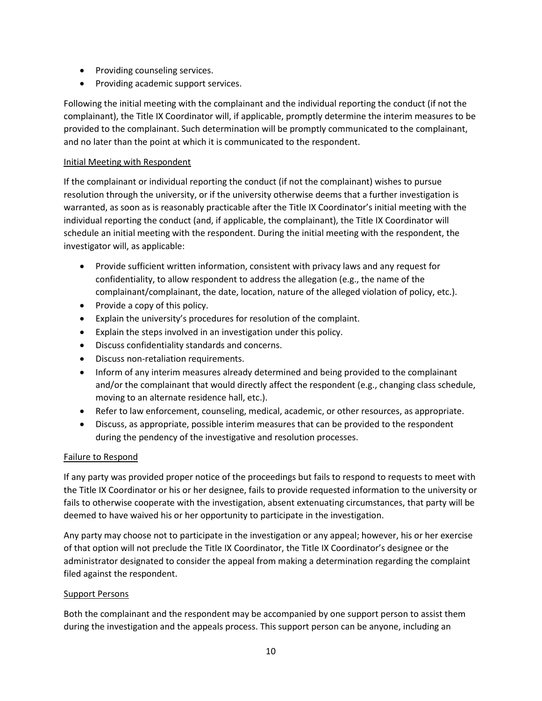- Providing counseling services.
- Providing academic support services.

Following the initial meeting with the complainant and the individual reporting the conduct (if not the complainant), the Title IX Coordinator will, if applicable, promptly determine the interim measures to be provided to the complainant. Such determination will be promptly communicated to the complainant, and no later than the point at which it is communicated to the respondent.

# Initial Meeting with Respondent

If the complainant or individual reporting the conduct (if not the complainant) wishes to pursue resolution through the university, or if the university otherwise deems that a further investigation is warranted, as soon as is reasonably practicable after the Title IX Coordinator's initial meeting with the individual reporting the conduct (and, if applicable, the complainant), the Title IX Coordinator will schedule an initial meeting with the respondent. During the initial meeting with the respondent, the investigator will, as applicable:

- Provide sufficient written information, consistent with privacy laws and any request for confidentiality, to allow respondent to address the allegation (e.g., the name of the complainant/complainant, the date, location, nature of the alleged violation of policy, etc.).
- $\bullet$  Provide a copy of this policy.
- Explain the university's procedures for resolution of the complaint.
- Explain the steps involved in an investigation under this policy.
- Discuss confidentiality standards and concerns.
- Discuss non-retaliation requirements.
- Inform of any interim measures already determined and being provided to the complainant and/or the complainant that would directly affect the respondent (e.g., changing class schedule, moving to an alternate residence hall, etc.).
- Refer to law enforcement, counseling, medical, academic, or other resources, as appropriate.
- Discuss, as appropriate, possible interim measures that can be provided to the respondent during the pendency of the investigative and resolution processes.

# Failure to Respond

If any party was provided proper notice of the proceedings but fails to respond to requests to meet with the Title IX Coordinator or his or her designee, fails to provide requested information to the university or fails to otherwise cooperate with the investigation, absent extenuating circumstances, that party will be deemed to have waived his or her opportunity to participate in the investigation.

Any party may choose not to participate in the investigation or any appeal; however, his or her exercise of that option will not preclude the Title IX Coordinator, the Title IX Coordinator's designee or the administrator designated to consider the appeal from making a determination regarding the complaint filed against the respondent.

### Support Persons

Both the complainant and the respondent may be accompanied by one support person to assist them during the investigation and the appeals process. This support person can be anyone, including an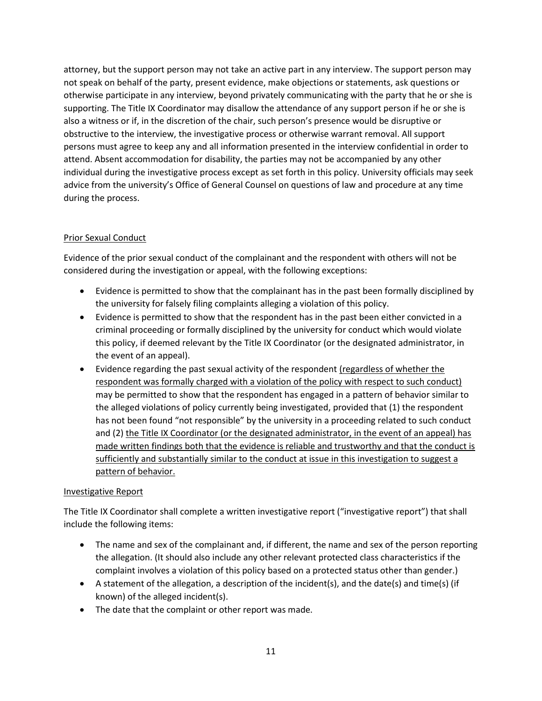attorney, but the support person may not take an active part in any interview. The support person may not speak on behalf of the party, present evidence, make objections or statements, ask questions or otherwise participate in any interview, beyond privately communicating with the party that he or she is supporting. The Title IX Coordinator may disallow the attendance of any support person if he or she is also a witness or if, in the discretion of the chair, such person's presence would be disruptive or obstructive to the interview, the investigative process or otherwise warrant removal. All support persons must agree to keep any and all information presented in the interview confidential in order to attend. Absent accommodation for disability, the parties may not be accompanied by any other individual during the investigative process except as set forth in this policy. University officials may seek advice from the university's Office of General Counsel on questions of law and procedure at any time during the process.

# Prior Sexual Conduct

Evidence of the prior sexual conduct of the complainant and the respondent with others will not be considered during the investigation or appeal, with the following exceptions:

- Evidence is permitted to show that the complainant has in the past been formally disciplined by the university for falsely filing complaints alleging a violation of this policy.
- Evidence is permitted to show that the respondent has in the past been either convicted in a criminal proceeding or formally disciplined by the university for conduct which would violate this policy, if deemed relevant by the Title IX Coordinator (or the designated administrator, in the event of an appeal).
- Evidence regarding the past sexual activity of the respondent (regardless of whether the respondent was formally charged with a violation of the policy with respect to such conduct) may be permitted to show that the respondent has engaged in a pattern of behavior similar to the alleged violations of policy currently being investigated, provided that (1) the respondent has not been found "not responsible" by the university in a proceeding related to such conduct and (2) the Title IX Coordinator (or the designated administrator, in the event of an appeal) has made written findings both that the evidence is reliable and trustworthy and that the conduct is sufficiently and substantially similar to the conduct at issue in this investigation to suggest a pattern of behavior.

### Investigative Report

The Title IX Coordinator shall complete a written investigative report ("investigative report") that shall include the following items:

- The name and sex of the complainant and, if different, the name and sex of the person reporting the allegation. (It should also include any other relevant protected class characteristics if the complaint involves a violation of this policy based on a protected status other than gender.)
- A statement of the allegation, a description of the incident(s), and the date(s) and time(s) (if known) of the alleged incident(s).
- The date that the complaint or other report was made.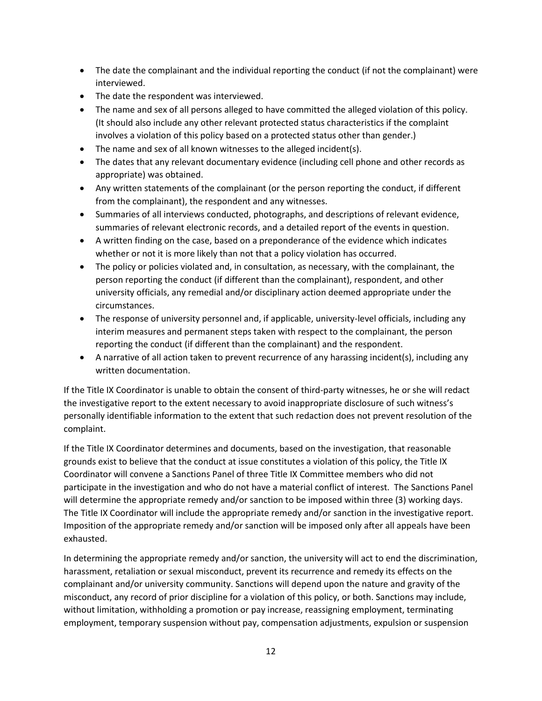- The date the complainant and the individual reporting the conduct (if not the complainant) were interviewed.
- The date the respondent was interviewed.
- The name and sex of all persons alleged to have committed the alleged violation of this policy. (It should also include any other relevant protected status characteristics if the complaint involves a violation of this policy based on a protected status other than gender.)
- The name and sex of all known witnesses to the alleged incident(s).
- The dates that any relevant documentary evidence (including cell phone and other records as appropriate) was obtained.
- Any written statements of the complainant (or the person reporting the conduct, if different from the complainant), the respondent and any witnesses.
- Summaries of all interviews conducted, photographs, and descriptions of relevant evidence, summaries of relevant electronic records, and a detailed report of the events in question.
- A written finding on the case, based on a preponderance of the evidence which indicates whether or not it is more likely than not that a policy violation has occurred.
- The policy or policies violated and, in consultation, as necessary, with the complainant, the person reporting the conduct (if different than the complainant), respondent, and other university officials, any remedial and/or disciplinary action deemed appropriate under the circumstances.
- The response of university personnel and, if applicable, university-level officials, including any interim measures and permanent steps taken with respect to the complainant, the person reporting the conduct (if different than the complainant) and the respondent.
- A narrative of all action taken to prevent recurrence of any harassing incident(s), including any written documentation.

If the Title IX Coordinator is unable to obtain the consent of third-party witnesses, he or she will redact the investigative report to the extent necessary to avoid inappropriate disclosure of such witness's personally identifiable information to the extent that such redaction does not prevent resolution of the complaint.

If the Title IX Coordinator determines and documents, based on the investigation, that reasonable grounds exist to believe that the conduct at issue constitutes a violation of this policy, the Title IX Coordinator will convene a Sanctions Panel of three Title IX Committee members who did not participate in the investigation and who do not have a material conflict of interest. The Sanctions Panel will determine the appropriate remedy and/or sanction to be imposed within three (3) working days. The Title IX Coordinator will include the appropriate remedy and/or sanction in the investigative report. Imposition of the appropriate remedy and/or sanction will be imposed only after all appeals have been exhausted.

In determining the appropriate remedy and/or sanction, the university will act to end the discrimination, harassment, retaliation or sexual misconduct, prevent its recurrence and remedy its effects on the complainant and/or university community. Sanctions will depend upon the nature and gravity of the misconduct, any record of prior discipline for a violation of this policy, or both. Sanctions may include, without limitation, withholding a promotion or pay increase, reassigning employment, terminating employment, temporary suspension without pay, compensation adjustments, expulsion or suspension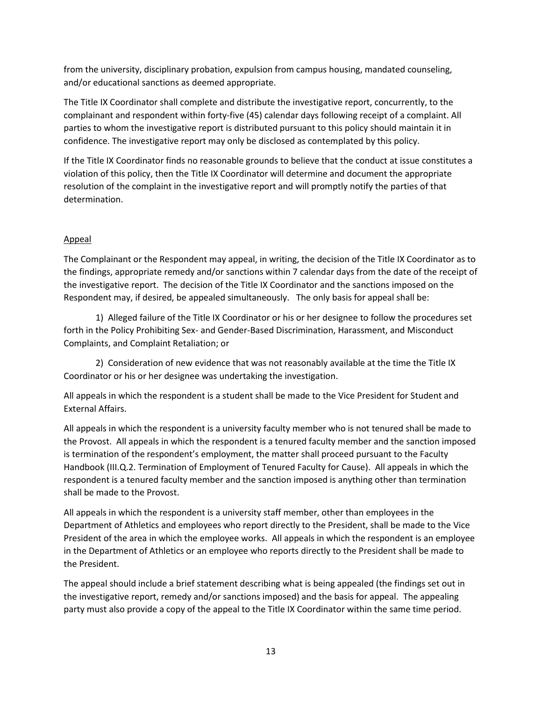from the university, disciplinary probation, expulsion from campus housing, mandated counseling, and/or educational sanctions as deemed appropriate.

The Title IX Coordinator shall complete and distribute the investigative report, concurrently, to the complainant and respondent within forty-five (45) calendar days following receipt of a complaint. All parties to whom the investigative report is distributed pursuant to this policy should maintain it in confidence. The investigative report may only be disclosed as contemplated by this policy.

If the Title IX Coordinator finds no reasonable grounds to believe that the conduct at issue constitutes a violation of this policy, then the Title IX Coordinator will determine and document the appropriate resolution of the complaint in the investigative report and will promptly notify the parties of that determination.

# Appeal

The Complainant or the Respondent may appeal, in writing, the decision of the Title IX Coordinator as to the findings, appropriate remedy and/or sanctions within 7 calendar days from the date of the receipt of the investigative report. The decision of the Title IX Coordinator and the sanctions imposed on the Respondent may, if desired, be appealed simultaneously. The only basis for appeal shall be:

 1) Alleged failure of the Title IX Coordinator or his or her designee to follow the procedures set forth in the Policy Prohibiting Sex- and Gender-Based Discrimination, Harassment, and Misconduct Complaints, and Complaint Retaliation; or

 2) Consideration of new evidence that was not reasonably available at the time the Title IX Coordinator or his or her designee was undertaking the investigation.

All appeals in which the respondent is a student shall be made to the Vice President for Student and External Affairs.

All appeals in which the respondent is a university faculty member who is not tenured shall be made to the Provost. All appeals in which the respondent is a tenured faculty member and the sanction imposed is termination of the respondent's employment, the matter shall proceed pursuant to the Faculty Handbook (III.Q.2. Termination of Employment of Tenured Faculty for Cause). All appeals in which the respondent is a tenured faculty member and the sanction imposed is anything other than termination shall be made to the Provost.

All appeals in which the respondent is a university staff member, other than employees in the Department of Athletics and employees who report directly to the President, shall be made to the Vice President of the area in which the employee works. All appeals in which the respondent is an employee in the Department of Athletics or an employee who reports directly to the President shall be made to the President.

The appeal should include a brief statement describing what is being appealed (the findings set out in the investigative report, remedy and/or sanctions imposed) and the basis for appeal. The appealing party must also provide a copy of the appeal to the Title IX Coordinator within the same time period.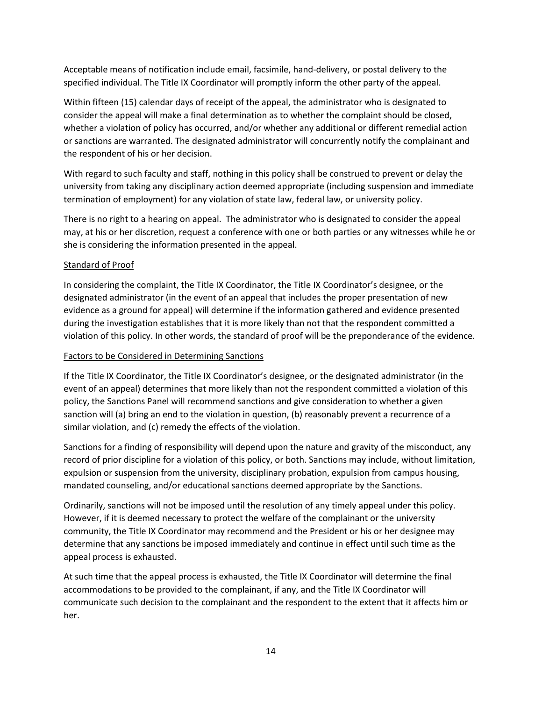Acceptable means of notification include email, facsimile, hand-delivery, or postal delivery to the specified individual. The Title IX Coordinator will promptly inform the other party of the appeal.

Within fifteen (15) calendar days of receipt of the appeal, the administrator who is designated to consider the appeal will make a final determination as to whether the complaint should be closed, whether a violation of policy has occurred, and/or whether any additional or different remedial action or sanctions are warranted. The designated administrator will concurrently notify the complainant and the respondent of his or her decision.

With regard to such faculty and staff, nothing in this policy shall be construed to prevent or delay the university from taking any disciplinary action deemed appropriate (including suspension and immediate termination of employment) for any violation of state law, federal law, or university policy.

There is no right to a hearing on appeal. The administrator who is designated to consider the appeal may, at his or her discretion, request a conference with one or both parties or any witnesses while he or she is considering the information presented in the appeal.

# Standard of Proof

In considering the complaint, the Title IX Coordinator, the Title IX Coordinator's designee, or the designated administrator (in the event of an appeal that includes the proper presentation of new evidence as a ground for appeal) will determine if the information gathered and evidence presented during the investigation establishes that it is more likely than not that the respondent committed a violation of this policy. In other words, the standard of proof will be the preponderance of the evidence.

### Factors to be Considered in Determining Sanctions

If the Title IX Coordinator, the Title IX Coordinator's designee, or the designated administrator (in the event of an appeal) determines that more likely than not the respondent committed a violation of this policy, the Sanctions Panel will recommend sanctions and give consideration to whether a given sanction will (a) bring an end to the violation in question, (b) reasonably prevent a recurrence of a similar violation, and (c) remedy the effects of the violation.

Sanctions for a finding of responsibility will depend upon the nature and gravity of the misconduct, any record of prior discipline for a violation of this policy, or both. Sanctions may include, without limitation, expulsion or suspension from the university, disciplinary probation, expulsion from campus housing, mandated counseling, and/or educational sanctions deemed appropriate by the Sanctions.

Ordinarily, sanctions will not be imposed until the resolution of any timely appeal under this policy. However, if it is deemed necessary to protect the welfare of the complainant or the university community, the Title IX Coordinator may recommend and the President or his or her designee may determine that any sanctions be imposed immediately and continue in effect until such time as the appeal process is exhausted.

At such time that the appeal process is exhausted, the Title IX Coordinator will determine the final accommodations to be provided to the complainant, if any, and the Title IX Coordinator will communicate such decision to the complainant and the respondent to the extent that it affects him or her.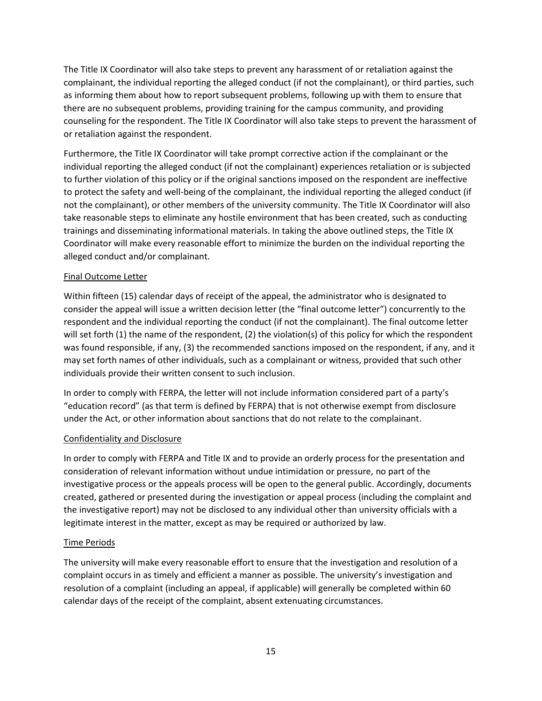The Title IX Coordinator will also take steps to prevent any harassment of or retaliation against the complainant, the individual reporting the alleged conduct (if not the complainant), or third parties, such as informing them about how to report subsequent problems, following up with them to ensure that there are no subsequent problems, providing training for the campus community, and providing counseling for the respondent. The Title IX Coordinator will also take steps to prevent the harassment of or retaliation against the respondent.

Furthermore, the Title IX Coordinator will take prompt corrective action if the complainant or the individual reporting the alleged conduct (if not the complainant) experiences retaliation or is subjected to further violation of this policy or if the original sanctions imposed on the respondent are ineffective to protect the safety and well-being of the complainant, the individual reporting the alleged conduct (if not the complainant), or other members of the university community. The Title IX Coordinator will also take reasonable steps to eliminate any hostile environment that has been created, such as conducting trainings and disseminating informational materials. In taking the above outlined steps, the Title IX Coordinator will make every reasonable effort to minimize the burden on the individual reporting the alleged conduct and/or complainant.

# Final Outcome Letter

Within fifteen (15) calendar days of receipt of the appeal, the administrator who is designated to consider the appeal will issue a written decision letter (the "final outcome letter") concurrently to the respondent and the individual reporting the conduct (if not the complainant). The final outcome letter will set forth (1) the name of the respondent, (2) the violation(s) of this policy for which the respondent was found responsible, if any, (3) the recommended sanctions imposed on the respondent, if any, and it may set forth names of other individuals, such as a complainant or witness, provided that such other individuals provide their written consent to such inclusion.

In order to comply with FERPA, the letter will not include information considered part of a party's "education record" (as that term is defined by FERPA) that is not otherwise exempt from disclosure under the Act, or other information about sanctions that do not relate to the complainant.

### Confidentiality and Disclosure

In order to comply with FERPA and Title IX and to provide an orderly process for the presentation and consideration of relevant information without undue intimidation or pressure, no part of the investigative process or the appeals process will be open to the general public. Accordingly, documents created, gathered or presented during the investigation or appeal process (including the complaint and the investigative report) may not be disclosed to any individual other than university officials with a legitimate interest in the matter, except as may be required or authorized by law.

### Time Periods

The university will make every reasonable effort to ensure that the investigation and resolution of a complaint occurs in as timely and efficient a manner as possible. The university's investigation and resolution of a complaint (including an appeal, if applicable) will generally be completed within 60 calendar days of the receipt of the complaint, absent extenuating circumstances.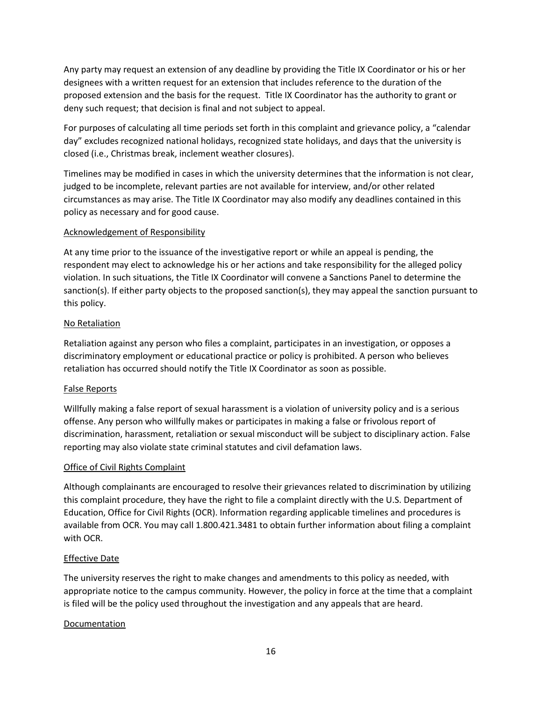Any party may request an extension of any deadline by providing the Title IX Coordinator or his or her designees with a written request for an extension that includes reference to the duration of the proposed extension and the basis for the request. Title IX Coordinator has the authority to grant or deny such request; that decision is final and not subject to appeal.

For purposes of calculating all time periods set forth in this complaint and grievance policy, a "calendar day" excludes recognized national holidays, recognized state holidays, and days that the university is closed (i.e., Christmas break, inclement weather closures).

Timelines may be modified in cases in which the university determines that the information is not clear, judged to be incomplete, relevant parties are not available for interview, and/or other related circumstances as may arise. The Title IX Coordinator may also modify any deadlines contained in this policy as necessary and for good cause.

### Acknowledgement of Responsibility

At any time prior to the issuance of the investigative report or while an appeal is pending, the respondent may elect to acknowledge his or her actions and take responsibility for the alleged policy violation. In such situations, the Title IX Coordinator will convene a Sanctions Panel to determine the sanction(s). If either party objects to the proposed sanction(s), they may appeal the sanction pursuant to this policy.

# No Retaliation

Retaliation against any person who files a complaint, participates in an investigation, or opposes a discriminatory employment or educational practice or policy is prohibited. A person who believes retaliation has occurred should notify the Title IX Coordinator as soon as possible.

# False Reports

Willfully making a false report of sexual harassment is a violation of university policy and is a serious offense. Any person who willfully makes or participates in making a false or frivolous report of discrimination, harassment, retaliation or sexual misconduct will be subject to disciplinary action. False reporting may also violate state criminal statutes and civil defamation laws.

### Office of Civil Rights Complaint

Although complainants are encouraged to resolve their grievances related to discrimination by utilizing this complaint procedure, they have the right to file a complaint directly with the U.S. Department of Education, Office for Civil Rights (OCR). Information regarding applicable timelines and procedures is available from OCR. You may call 1.800.421.3481 to obtain further information about filing a complaint with OCR.

### Effective Date

The university reserves the right to make changes and amendments to this policy as needed, with appropriate notice to the campus community. However, the policy in force at the time that a complaint is filed will be the policy used throughout the investigation and any appeals that are heard.

### Documentation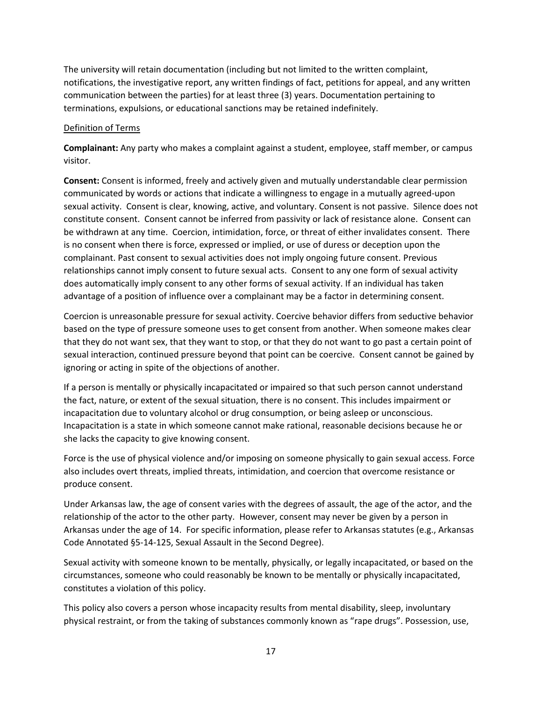The university will retain documentation (including but not limited to the written complaint, notifications, the investigative report, any written findings of fact, petitions for appeal, and any written communication between the parties) for at least three (3) years. Documentation pertaining to terminations, expulsions, or educational sanctions may be retained indefinitely.

#### Definition of Terms

**Complainant:** Any party who makes a complaint against a student, employee, staff member, or campus visitor.

**Consent:** Consent is informed, freely and actively given and mutually understandable clear permission communicated by words or actions that indicate a willingness to engage in a mutually agreed-upon sexual activity. Consent is clear, knowing, active, and voluntary. Consent is not passive. Silence does not constitute consent. Consent cannot be inferred from passivity or lack of resistance alone. Consent can be withdrawn at any time. Coercion, intimidation, force, or threat of either invalidates consent. There is no consent when there is force, expressed or implied, or use of duress or deception upon the complainant. Past consent to sexual activities does not imply ongoing future consent. Previous relationships cannot imply consent to future sexual acts. Consent to any one form of sexual activity does automatically imply consent to any other forms of sexual activity. If an individual has taken advantage of a position of influence over a complainant may be a factor in determining consent.

Coercion is unreasonable pressure for sexual activity. Coercive behavior differs from seductive behavior based on the type of pressure someone uses to get consent from another. When someone makes clear that they do not want sex, that they want to stop, or that they do not want to go past a certain point of sexual interaction, continued pressure beyond that point can be coercive. Consent cannot be gained by ignoring or acting in spite of the objections of another.

If a person is mentally or physically incapacitated or impaired so that such person cannot understand the fact, nature, or extent of the sexual situation, there is no consent. This includes impairment or incapacitation due to voluntary alcohol or drug consumption, or being asleep or unconscious. Incapacitation is a state in which someone cannot make rational, reasonable decisions because he or she lacks the capacity to give knowing consent.

Force is the use of physical violence and/or imposing on someone physically to gain sexual access. Force also includes overt threats, implied threats, intimidation, and coercion that overcome resistance or produce consent.

Under Arkansas law, the age of consent varies with the degrees of assault, the age of the actor, and the relationship of the actor to the other party. However, consent may never be given by a person in Arkansas under the age of 14. For specific information, please refer to Arkansas statutes (e.g., Arkansas Code Annotated §5-14-125, Sexual Assault in the Second Degree).

Sexual activity with someone known to be mentally, physically, or legally incapacitated, or based on the circumstances, someone who could reasonably be known to be mentally or physically incapacitated, constitutes a violation of this policy.

This policy also covers a person whose incapacity results from mental disability, sleep, involuntary physical restraint, or from the taking of substances commonly known as "rape drugs". Possession, use,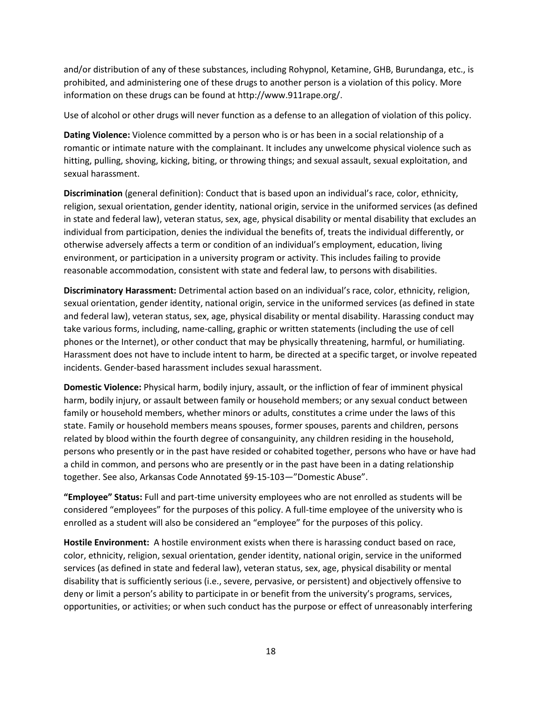and/or distribution of any of these substances, including Rohypnol, Ketamine, GHB, Burundanga, etc., is prohibited, and administering one of these drugs to another person is a violation of this policy. More information on these drugs can be found at http://www.911rape.org/.

Use of alcohol or other drugs will never function as a defense to an allegation of violation of this policy.

**Dating Violence:** Violence committed by a person who is or has been in a social relationship of a romantic or intimate nature with the complainant. It includes any unwelcome physical violence such as hitting, pulling, shoving, kicking, biting, or throwing things; and sexual assault, sexual exploitation, and sexual harassment.

**Discrimination** (general definition): Conduct that is based upon an individual's race, color, ethnicity, religion, sexual orientation, gender identity, national origin, service in the uniformed services (as defined in state and federal law), veteran status, sex, age, physical disability or mental disability that excludes an individual from participation, denies the individual the benefits of, treats the individual differently, or otherwise adversely affects a term or condition of an individual's employment, education, living environment, or participation in a university program or activity. This includes failing to provide reasonable accommodation, consistent with state and federal law, to persons with disabilities.

**Discriminatory Harassment:** Detrimental action based on an individual's race, color, ethnicity, religion, sexual orientation, gender identity, national origin, service in the uniformed services (as defined in state and federal law), veteran status, sex, age, physical disability or mental disability. Harassing conduct may take various forms, including, name-calling, graphic or written statements (including the use of cell phones or the Internet), or other conduct that may be physically threatening, harmful, or humiliating. Harassment does not have to include intent to harm, be directed at a specific target, or involve repeated incidents. Gender-based harassment includes sexual harassment.

**Domestic Violence:** Physical harm, bodily injury, assault, or the infliction of fear of imminent physical harm, bodily injury, or assault between family or household members; or any sexual conduct between family or household members, whether minors or adults, constitutes a crime under the laws of this state. Family or household members means spouses, former spouses, parents and children, persons related by blood within the fourth degree of consanguinity, any children residing in the household, persons who presently or in the past have resided or cohabited together, persons who have or have had a child in common, and persons who are presently or in the past have been in a dating relationship together. See also, Arkansas Code Annotated §9-15-103—"Domestic Abuse".

**"Employee" Status:** Full and part-time university employees who are not enrolled as students will be considered "employees" for the purposes of this policy. A full-time employee of the university who is enrolled as a student will also be considered an "employee" for the purposes of this policy.

**Hostile Environment:** A hostile environment exists when there is harassing conduct based on race, color, ethnicity, religion, sexual orientation, gender identity, national origin, service in the uniformed services (as defined in state and federal law), veteran status, sex, age, physical disability or mental disability that is sufficiently serious (i.e., severe, pervasive, or persistent) and objectively offensive to deny or limit a person's ability to participate in or benefit from the university's programs, services, opportunities, or activities; or when such conduct has the purpose or effect of unreasonably interfering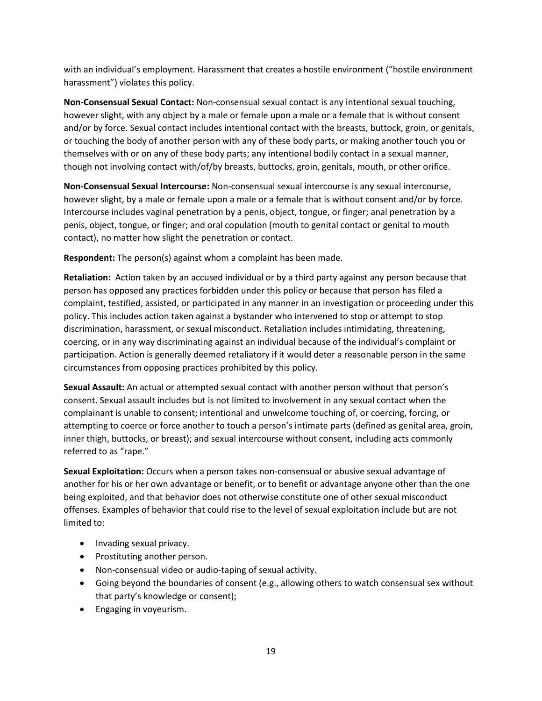with an individual's employment. Harassment that creates a hostile environment ("hostile environment harassment") violates this policy.

**Non-Consensual Sexual Contact:** Non-consensual sexual contact is any intentional sexual touching, however slight, with any object by a male or female upon a male or a female that is without consent and/or by force. Sexual contact includes intentional contact with the breasts, buttock, groin, or genitals, or touching the body of another person with any of these body parts, or making another touch you or themselves with or on any of these body parts; any intentional bodily contact in a sexual manner, though not involving contact with/of/by breasts, buttocks, groin, genitals, mouth, or other orifice.

**Non-Consensual Sexual Intercourse:** Non-consensual sexual intercourse is any sexual intercourse, however slight, by a male or female upon a male or a female that is without consent and/or by force. Intercourse includes vaginal penetration by a penis, object, tongue, or finger; anal penetration by a penis, object, tongue, or finger; and oral copulation (mouth to genital contact or genital to mouth contact), no matter how slight the penetration or contact.

**Respondent:** The person(s) against whom a complaint has been made.

**Retaliation:** Action taken by an accused individual or by a third party against any person because that person has opposed any practices forbidden under this policy or because that person has filed a complaint, testified, assisted, or participated in any manner in an investigation or proceeding under this policy. This includes action taken against a bystander who intervened to stop or attempt to stop discrimination, harassment, or sexual misconduct. Retaliation includes intimidating, threatening, coercing, or in any way discriminating against an individual because of the individual's complaint or participation. Action is generally deemed retaliatory if it would deter a reasonable person in the same circumstances from opposing practices prohibited by this policy.

**Sexual Assault:** An actual or attempted sexual contact with another person without that person's consent. Sexual assault includes but is not limited to involvement in any sexual contact when the complainant is unable to consent; intentional and unwelcome touching of, or coercing, forcing, or attempting to coerce or force another to touch a person's intimate parts (defined as genital area, groin, inner thigh, buttocks, or breast); and sexual intercourse without consent, including acts commonly referred to as "rape."

**Sexual Exploitation:** Occurs when a person takes non-consensual or abusive sexual advantage of another for his or her own advantage or benefit, or to benefit or advantage anyone other than the one being exploited, and that behavior does not otherwise constitute one of other sexual misconduct offenses. Examples of behavior that could rise to the level of sexual exploitation include but are not limited to:

- Invading sexual privacy.
- Prostituting another person.
- Non-consensual video or audio-taping of sexual activity.
- Going beyond the boundaries of consent (e.g., allowing others to watch consensual sex without that party's knowledge or consent);
- Engaging in voyeurism.